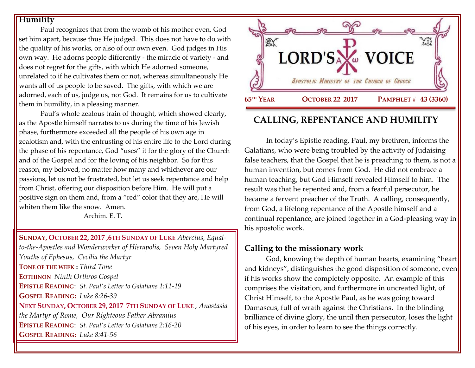### **Humility**

Paul recognizes that from the womb of his mother even, God set him apart, because thus He judged. This does not have to do with the quality of his works, or also of our own even. God judges in His own way. He adorns people differently - the miracle of variety - and does not regret for the gifts, with which He adorned someone, unrelated to if he cultivates them or not, whereas simultaneously He wants all of us people to be saved. The gifts, with which we are adorned, each of us, judge us, not God. It remains for us to cultivate them in humility, in a pleasing manner.

Paul's whole zealous train of thought, which showed clearly, as the Apostle himself narrates to us during the time of his Jewish phase, furthermore exceeded all the people of his own age in zealotism and, with the entrusting of his entire life to the Lord during the phase of his repentance, God "uses" it for the glory of the Church and of the Gospel and for the loving of his neighbor. So for this reason, my beloved, no matter how many and whichever are our passions, let us not be frustrated, but let us seek repentance and help from Christ, offering our disposition before Him. He will put a positive sign on them and, from a "red" color that they are, He will whiten them like the snow. Amen.

Archim. E. T.

**SUNDAY, OCTOBER 22, 2017 [,6](https://www.goarch.org/chapel/saints?contentid=939&PCode=6LS&D=S&date=10/22/2017)TH SUNDAY OF LUKE** *[Abercius, Equal](https://www.goarch.org/chapel/saints?contentid=252)[to-the-Apostles and Wonderworker of Hierapolis,](https://www.goarch.org/chapel/saints?contentid=252) [Seven Holy Martyred](https://www.goarch.org/chapel/saints?contentid=253)  [Youths of Ephesus, C](https://www.goarch.org/chapel/saints?contentid=253)ecilia the Martyr* **TONE OF THE WEEK :** *Third Tone* **EOTHINON** *Ninth Orthros Gospel* **EPISTLE READING**: *[St. Paul's Letter](https://www.goarch.org/chapel/lectionary?type=epistle&code=27&event=940&date=5/28/2017) to Galatians 1:11-19* **GOSPEL R[EADING](https://www.goarch.org/chapel/lectionary?type=gospel&code=43&event=940&date=5/28/2017):** *Luke 8:26-39* **NEXT SUNDAY, OCTOBER 29, 2017 7TH S[UNDAY OF](https://www.goarch.org/chapel/saints?contentid=960&PCode=7LS&D=S&date=10/29/2017) LUKE** , *Anastasia the Martyr of Rome, [Our Righteous Father Abramius](https://www.goarch.org/chapel/saints?contentid=262)*  **EPISTLE READING**: *[St. Paul's Letter](https://www.goarch.org/chapel/lectionary?type=epistle&code=27&event=940&date=5/28/2017) to Galatians 2:16-20* **GOSPEL R[EADING](https://www.goarch.org/chapel/lectionary?type=gospel&code=43&event=940&date=5/28/2017):** *Luke 8:41-56*



# **CALLING, REPENTANCE AND HUMILITY**

In today's Epistle reading, Paul, my brethren, informs the Galatians, who were being troubled by the activity of Judaising false teachers, that the Gospel that he is preaching to them, is not a human invention, but comes from God. He did not embrace a human teaching, but God Himself revealed Himself to him. The result was that he repented and, from a fearful persecutor, he became a fervent preacher of the Truth. A calling, consequently, from God, a lifelong repentance of the Apostle himself and a continual repentance, are joined together in a God-pleasing way in his apostolic work.

# **Calling to the missionary work**

God, knowing the depth of human hearts, examining "heart and kidneys", distinguishes the good disposition of someone, even if his works show the completely opposite. An example of this comprises the visitation, and furthermore in uncreated light, of Christ Himself, to the Apostle Paul, as he was going toward Damascus, full of wrath against the Christians. In the blinding brilliance of divine glory, the until then persecutor, loses the light of his eyes, in order to learn to see the things correctly.